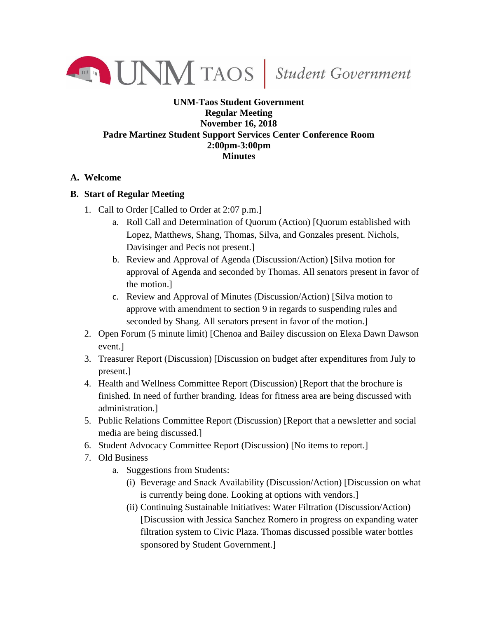

## **UNM-Taos Student Government Regular Meeting November 16, 2018 Padre Martinez Student Support Services Center Conference Room 2:00pm-3:00pm Minutes**

## **A. Welcome**

## **B. Start of Regular Meeting**

- 1. Call to Order [Called to Order at 2:07 p.m.]
	- a. Roll Call and Determination of Quorum (Action) [Quorum established with Lopez, Matthews, Shang, Thomas, Silva, and Gonzales present. Nichols, Davisinger and Pecis not present.]
	- b. Review and Approval of Agenda (Discussion/Action) [Silva motion for approval of Agenda and seconded by Thomas. All senators present in favor of the motion.]
	- c. Review and Approval of Minutes (Discussion/Action) [Silva motion to approve with amendment to section 9 in regards to suspending rules and seconded by Shang. All senators present in favor of the motion.]
- 2. Open Forum (5 minute limit) [Chenoa and Bailey discussion on Elexa Dawn Dawson event.]
- 3. Treasurer Report (Discussion) [Discussion on budget after expenditures from July to present.]
- 4. Health and Wellness Committee Report (Discussion) [Report that the brochure is finished. In need of further branding. Ideas for fitness area are being discussed with administration.]
- 5. Public Relations Committee Report (Discussion) [Report that a newsletter and social media are being discussed.]
- 6. Student Advocacy Committee Report (Discussion) [No items to report.]
- 7. Old Business
	- a. Suggestions from Students:
		- (i) Beverage and Snack Availability (Discussion/Action) [Discussion on what is currently being done. Looking at options with vendors.]
		- (ii) Continuing Sustainable Initiatives: Water Filtration (Discussion/Action) [Discussion with Jessica Sanchez Romero in progress on expanding water filtration system to Civic Plaza. Thomas discussed possible water bottles sponsored by Student Government.]